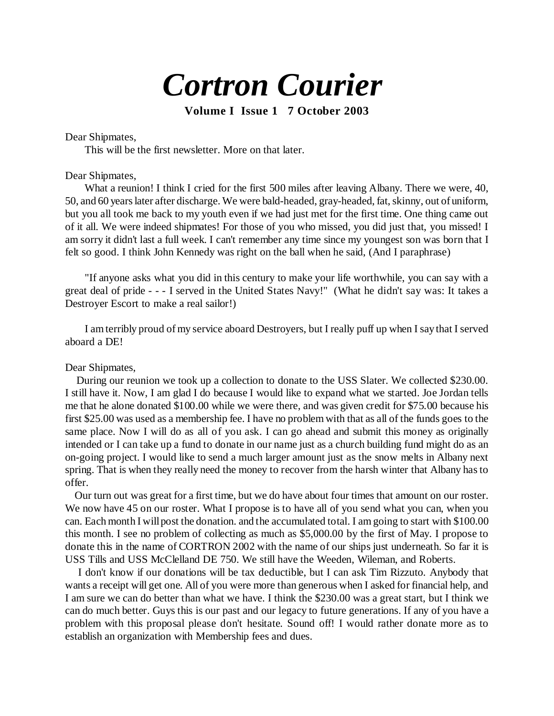# *Cortron Courier*

**Volume I Issue 1 7 October 2003**

Dear Shipmates,

This will be the first newsletter. More on that later.

### Dear Shipmates,

What a reunion! I think I cried for the first 500 miles after leaving Albany. There we were, 40, 50, and 60 years later after discharge. We were bald-headed, gray-headed, fat, skinny, out of uniform, but you all took me back to my youth even if we had just met for the first time. One thing came out of it all. We were indeed shipmates! For those of you who missed, you did just that, you missed! I am sorry it didn't last a full week. I can't remember any time since my youngest son was born that I felt so good. I think John Kennedy was right on the ball when he said, (And I paraphrase)

"If anyone asks what you did in this century to make your life worthwhile, you can say with a great deal of pride - - - I served in the United States Navy!" (What he didn't say was: It takes a Destroyer Escort to make a real sailor!)

I am terribly proud of my service aboard Destroyers, but I really puff up when I say that I served aboard a DE!

#### Dear Shipmates,

 During our reunion we took up a collection to donate to the USS Slater. We collected \$230.00. I still have it. Now, I am glad I do because I would like to expand what we started. Joe Jordan tells me that he alone donated \$100.00 while we were there, and was given credit for \$75.00 because his first \$25.00 was used as a membership fee. I have no problem with that as all of the funds goes to the same place. Now I will do as all of you ask. I can go ahead and submit this money as originally intended or I can take up a fund to donate in our name just as a church building fund might do as an on-going project. I would like to send a much larger amount just as the snow melts in Albany next spring. That is when they really need the money to recover from the harsh winter that Albany has to offer.

 Our turn out was great for a first time, but we do have about four times that amount on our roster. We now have 45 on our roster. What I propose is to have all of you send what you can, when you can. Each month I will post the donation. and the accumulated total. I am going to start with \$100.00 this month. I see no problem of collecting as much as \$5,000.00 by the first of May. I propose to donate this in the name of CORTRON 2002 with the name of our ships just underneath. So far it is USS Tills and USS McClelland DE 750. We still have the Weeden, Wileman, and Roberts.

 I don't know if our donations will be tax deductible, but I can ask Tim Rizzuto. Anybody that wants a receipt will get one. All of you were more than generous when I asked for financial help, and I am sure we can do better than what we have. I think the \$230.00 was a great start, but I think we can do much better. Guys this is our past and our legacy to future generations. If any of you have a problem with this proposal please don't hesitate. Sound off! I would rather donate more as to establish an organization with Membership fees and dues.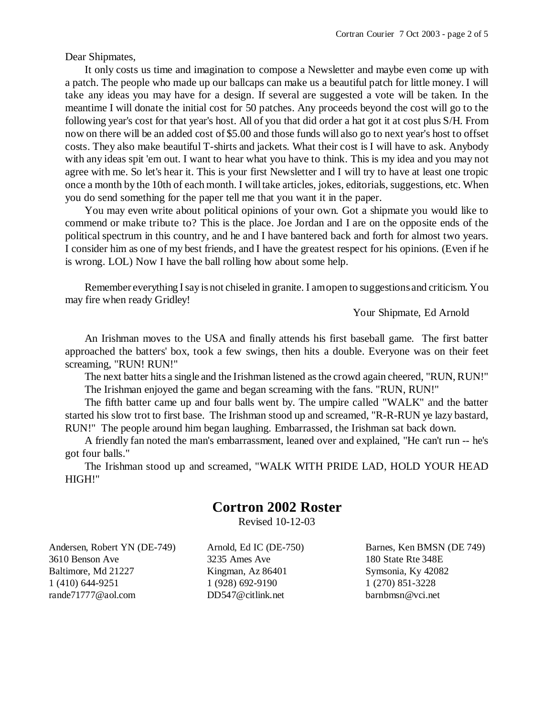Dear Shipmates,

It only costs us time and imagination to compose a Newsletter and maybe even come up with a patch. The people who made up our ballcaps can make us a beautiful patch for little money. I will take any ideas you may have for a design. If several are suggested a vote will be taken. In the meantime I will donate the initial cost for 50 patches. Any proceeds beyond the cost will go to the following year's cost for that year's host. All of you that did order a hat got it at cost plus S/H. From now on there will be an added cost of \$5.00 and those funds will also go to next year's host to offset costs. They also make beautiful T-shirts and jackets. What their cost is I will have to ask. Anybody with any ideas spit 'em out. I want to hear what you have to think. This is my idea and you may not agree with me. So let's hear it. This is your first Newsletter and I will try to have at least one tropic once a month by the 10th of each month. I will take articles, jokes, editorials, suggestions, etc. When you do send something for the paper tell me that you want it in the paper.

You may even write about political opinions of your own. Got a shipmate you would like to commend or make tribute to? This is the place. Joe Jordan and I are on the opposite ends of the political spectrum in this country, and he and I have bantered back and forth for almost two years. I consider him as one of my best friends, and I have the greatest respect for his opinions. (Even if he is wrong. LOL) Now I have the ball rolling how about some help.

Remember everything I say is not chiseled in granite. I am open to suggestions and criticism. You may fire when ready Gridley!

Your Shipmate, Ed Arnold

An Irishman moves to the USA and finally attends his first baseball game. The first batter approached the batters' box, took a few swings, then hits a double. Everyone was on their feet screaming, "RUN! RUN!"

The next batter hits a single and the Irishman listened as the crowd again cheered, "RUN, RUN!" The Irishman enjoyed the game and began screaming with the fans. "RUN, RUN!"

The fifth batter came up and four balls went by. The umpire called "WALK" and the batter started his slow trot to first base. The Irishman stood up and screamed, "R-R-RUN ye lazy bastard, RUN!" The people around him began laughing. Embarrassed, the Irishman sat back down.

A friendly fan noted the man's embarrassment, leaned over and explained, "He can't run -- he's got four balls."

The Irishman stood up and screamed, "WALK WITH PRIDE LAD, HOLD YOUR HEAD HIGH!"

## **Cortron 2002 Roster**

Revised 10-12-03

Andersen, Robert YN (DE-749) 3610 Benson Ave Baltimore, Md 21227 1 (410) 644-9251 rande71777@aol.com

Arnold, Ed IC (DE-750) 3235 Ames Ave Kingman, Az 86401 1 (928) 692-9190 DD547@citlink.net

Barnes, Ken BMSN (DE 749) 180 State Rte 348E Symsonia, Ky 42082 1 (270) 851-3228 barnbmsn@vci.net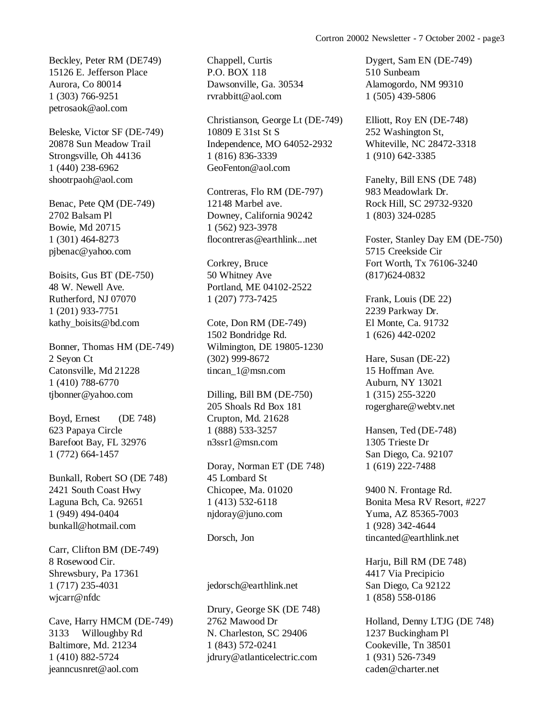Beckley, Peter RM (DE749) 15126 E. Jefferson Place Aurora, Co 80014 1 (303) 766-9251 petrosaok@aol.com

Beleske, Victor SF (DE-749) 20878 Sun Meadow Trail Strongsville, Oh 44136 1 (440) 238-6962 shootrpaoh@aol.com

Benac, Pete QM (DE-749) 2702 Balsam Pl Bowie, Md 20715 1 (301) 464-8273 pjbenac@yahoo.com

Boisits, Gus BT (DE-750) 48 W. Newell Ave. Rutherford, NJ 07070 1 (201) 933-7751 kathy\_boisits@bd.com

Bonner, Thomas HM (DE-749) 2 Seyon Ct Catonsville, Md 21228 1 (410) 788-6770 tjbonner@yahoo.com

Boyd, Ernest (DE 748) 623 Papaya Circle Barefoot Bay, FL 32976 1 (772) 664-1457

Bunkall, Robert SO (DE 748) 2421 South Coast Hwy Laguna Bch, Ca. 92651 1 (949) 494-0404 bunkall@hotmail.com

Carr, Clifton BM (DE-749) 8 Rosewood Cir. Shrewsbury, Pa 17361 1 (717) 235-4031 wjcarr@nfdc

Cave, Harry HMCM (DE-749) 3133 Willoughby Rd Baltimore, Md. 21234 1 (410) 882-5724 jeanncusnret@aol.com

Chappell, Curtis P.O. BOX 118 Dawsonville, Ga. 30534 rvrabbitt@aol.com

Christianson, George Lt (DE-749) 10809 E 31st St S Independence, MO 64052-2932 1 (816) 836-3339 GeoFenton@aol.com

Contreras, Flo RM (DE-797) 12148 Marbel ave. Downey, California 90242 1 (562) 923-3978 flocontreras@earthlink...net

Corkrey, Bruce 50 Whitney Ave Portland, ME 04102-2522 1 (207) 773-7425

Cote, Don RM (DE-749) 1502 Bondridge Rd. Wilmington, DE 19805-1230 (302) 999-8672 tincan\_1@msn.com

Dilling, Bill BM (DE-750) 205 Shoals Rd Box 181 Crupton, Md. 21628 1 (888) 533-3257 n3ssr1@msn.com

Doray, Norman ET (DE 748) 45 Lombard St Chicopee, Ma. 01020 1 (413) 532-6118 njdoray@juno.com

Dorsch, Jon

#### jedorsch@earthlink.net

Drury, George SK (DE 748) 2762 Mawood Dr N. Charleston, SC 29406 1 (843) 572-0241 jdrury@atlanticelectric.com

Dygert, Sam EN (DE-749) 510 Sunbeam Alamogordo, NM 99310 1 (505) 439-5806

Elliott, Roy EN (DE-748) 252 Washington St, Whiteville, NC 28472-3318 1 (910) 642-3385

Fanelty, Bill ENS (DE 748) 983 Meadowlark Dr. Rock Hill, SC 29732-9320 1 (803) 324-0285

Foster, Stanley Day EM (DE-750) 5715 Creekside Cir Fort Worth, Tx 76106-3240 (817)624-0832

Frank, Louis (DE 22) 2239 Parkway Dr. El Monte, Ca. 91732 1 (626) 442-0202

Hare, Susan (DE-22) 15 Hoffman Ave. Auburn, NY 13021 1 (315) 255-3220 rogerghare@webtv.net

Hansen, Ted (DE-748) 1305 Trieste Dr San Diego, Ca. 92107 1 (619) 222-7488

9400 N. Frontage Rd. Bonita Mesa RV Resort, #227 Yuma, AZ 85365-7003 1 (928) 342-4644 tincanted@earthlink.net

Harju, Bill RM (DE 748) 4417 Via Precipicio San Diego, Ca 92122 1 (858) 558-0186

Holland, Denny LTJG (DE 748) 1237 Buckingham Pl Cookeville, Tn 38501 1 (931) 526-7349 caden@charter.net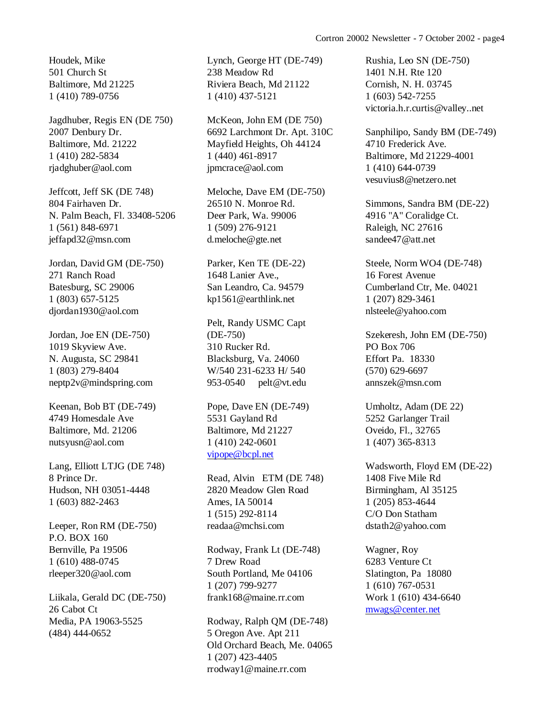Houdek, Mike 501 Church St Baltimore, Md 21225 1 (410) 789-0756

Jagdhuber, Regis EN (DE 750) 2007 Denbury Dr. Baltimore, Md. 21222 1 (410) 282-5834 rjadghuber@aol.com

Jeffcott, Jeff SK (DE 748) 804 Fairhaven Dr. N. Palm Beach, Fl. 33408-5206 1 (561) 848-6971 jeffapd32@msn.com

Jordan, David GM (DE-750) 271 Ranch Road Batesburg, SC 29006 1 (803) 657-5125 djordan1930@aol.com

Jordan, Joe EN (DE-750) 1019 Skyview Ave. N. Augusta, SC 29841 1 (803) 279-8404 neptp2v@mindspring.com

Keenan, Bob BT (DE-749) 4749 Homesdale Ave Baltimore, Md. 21206 nutsyusn@aol.com

Lang, Elliott LTJG (DE 748) 8 Prince Dr. Hudson, NH 03051-4448 1 (603) 882-2463

Leeper, Ron RM (DE-750) P.O. BOX 160 Bernville, Pa 19506 1 (610) 488-0745 rleeper320@aol.com

Liikala, Gerald DC (DE-750) 26 Cabot Ct Media, PA 19063-5525 (484) 444-0652

Lynch, George HT (DE-749) 238 Meadow Rd Riviera Beach, Md 21122 1 (410) 437-5121

McKeon, John EM (DE 750) 6692 Larchmont Dr. Apt. 310C Mayfield Heights, Oh 44124 1 (440) 461-8917 jpmcrace@aol.com

Meloche, Dave EM (DE-750) 26510 N. Monroe Rd. Deer Park, Wa. 99006 1 (509) 276-9121 d.meloche@gte.net

Parker, Ken TE (DE-22) 1648 Lanier Ave., San Leandro, Ca. 94579 kp1561@earthlink.net

Pelt, Randy USMC Capt (DE-750) 310 Rucker Rd. Blacksburg, Va. 24060 W/540 231-6233 H/ 540 953-0540 pelt@vt.edu

Pope, Dave EN (DE-749) 5531 Gayland Rd Baltimore, Md 21227 1 (410) 242-0601 [vipope@bcpl.net](mailto:vipope@bcpl.net)

Read, Alvin ETM (DE 748) 2820 Meadow Glen Road Ames, IA 50014 1 (515) 292-8114 readaa@mchsi.com

Rodway, Frank Lt (DE-748) 7 Drew Road South Portland, Me 04106 1 (207) 799-9277 frank168@maine.rr.com

Rodway, Ralph QM (DE-748) 5 Oregon Ave. Apt 211 Old Orchard Beach, Me. 04065 1 (207) 423-4405 rrodway1@maine.rr.com

Rushia, Leo SN (DE-750) 1401 N.H. Rte 120 Cornish, N. H. 03745 1 (603) 542-7255 victoria.h.r.curtis@valley..net

Sanphilipo, Sandy BM (DE-749) 4710 Frederick Ave. Baltimore, Md 21229-4001 1 (410) 644-0739 vesuvius8@netzero.net

Simmons, Sandra BM (DE-22) 4916 "A" Coralidge Ct. Raleigh, NC 27616 sandee47@att.net

Steele, Norm WO4 (DE-748) 16 Forest Avenue Cumberland Ctr, Me. 04021 1 (207) 829-3461 nlsteele@yahoo.com

Szekeresh, John EM (DE-750) PO Box 706 Effort Pa. 18330 (570) 629-6697 annszek@msn.com

Umholtz, Adam (DE 22) 5252 Garlanger Trail Oveido, Fl., 32765 1 (407) 365-8313

Wadsworth, Floyd EM (DE-22) 1408 Five Mile Rd Birmingham, Al 35125 1 (205) 853-4644 C/O Don Statham dstath2@yahoo.com

Wagner, Roy 6283 Venture Ct Slatington, Pa 18080 1 (610) 767-0531 Work 1 (610) 434-6640 [mwags@center.net](mailto:mwags@center.net)